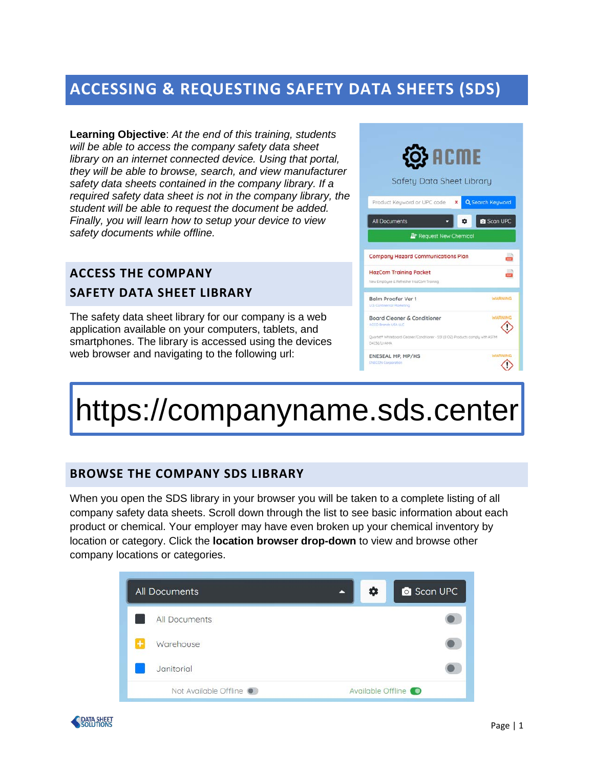## **ACCESSING & REQUESTING SAFETY DATA SHEETS (SDS)**

**Learning Objective**: *At the end of this training, students will be able to access the company safety data sheet library on an internet connected device. Using that portal, they will be able to browse, search, and view manufacturer safety data sheets contained in the company library. If a required safety data sheet is not in the company library, the student will be able to request the document be added. Finally, you will learn how to setup your device to view safety documents while offline.*

## **ACCESS THE COMPANY SAFETY DATA SHEET LIBRARY**

The safety data sheet library for our company is a web application available on your computers, tablets, and smartphones. The library is accessed using the devices web browser and navigating to the following url:



# https://companyname.sds.center

#### **BROWSE THE COMPANY SDS LIBRARY**

When you open the SDS library in your browser you will be taken to a complete listing of all company safety data sheets. Scroll down through the list to see basic information about each product or chemical. Your employer may have even broken up your chemical inventory by location or category. Click the **location browser drop-down** to view and browse other company locations or categories.



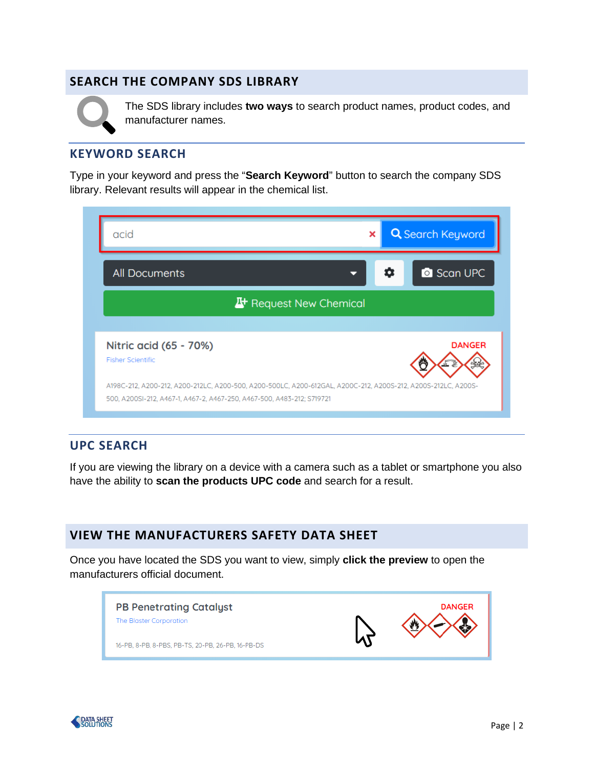#### **SEARCH THE COMPANY SDS LIBRARY**



The SDS library includes **two ways** to search product names, product codes, and manufacturer names.

#### **KEYWORD SEARCH**

Type in your keyword and press the "**Search Keyword**" button to search the company SDS library. Relevant results will appear in the chemical list.

| acid                                                                   | <b>Q</b> Search Keyword<br>×                                                                                  |  |
|------------------------------------------------------------------------|---------------------------------------------------------------------------------------------------------------|--|
| <b>All Documents</b>                                                   | <b>C</b> Scan UPC<br>o                                                                                        |  |
| <b>A</b> <sup>+</sup> Request New Chemical                             |                                                                                                               |  |
| Nitric acid (65 - 70%)<br><b>Fisher Scientific</b>                     | <b>DANGER</b>                                                                                                 |  |
| 500, A200SI-212, A467-1, A467-2, A467-250, A467-500, A483-212; S719721 | A198C-212, A200-212, A200-212LC, A200-500, A200-500LC, A200-612GAL, A200C-212, A200S-212, A200S-212LC, A200S- |  |

#### **UPC SEARCH**

If you are viewing the library on a device with a camera such as a tablet or smartphone you also have the ability to **scan the products UPC code** and search for a result.

#### **VIEW THE MANUFACTURERS SAFETY DATA SHEET**

Once you have located the SDS you want to view, simply **click the preview** to open the manufacturers official document.